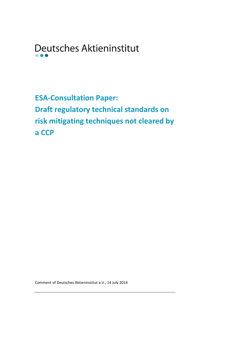Deutsches Aktieninstitut  $\bullet$ 

**ESA-Consultation Paper: Draft regulatory technical standards on risk mitigating techniques not cleared by a CCP**

Comment of Deutsches Aktieninstitut e.V., 14 July 2014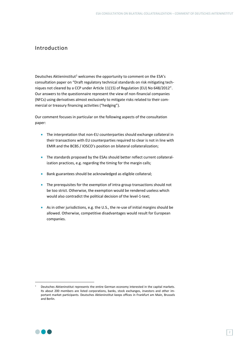# Introduction

Deutsches Aktieninstitut<sup>1</sup> welcomes the opportunity to comment on the ESA's consultation paper on "Draft regulatory technical standards on risk mitigating techniques not cleared by a CCP under Article 11(15) of Regulation (EU) No 648/2012". Our answers to the questionnaire represent the view of non-financial companies (NFCs) using derivatives almost exclusively to mitigate risks related to their commercial or treasury financing activities ("hedging").

Our comment focuses in particular on the following aspects of the consultation paper:

- The interpretation that non-EU counterparties should exchange collateral in their transactions with EU counterparties required to clear is not in line with EMIR and the BCBS / IOSCO's position on bilateral collateralization;
- The standards proposed by the ESAs should better reflect current collateralization practices, e.g. regarding the timing for the margin calls;
- Bank guarantees should be acknowledged as eligible collateral;
- The prerequisites for the exemption of intra-group transactions should not be too strict. Otherwise, the exemption would be rendered useless which would also contradict the political decision of the level-1-text;
- As in other jurisdictions, e.g. the U.S., the re-use of initial margins should be allowed. Otherwise, competitive disadvantages would result for European companies.



**-**

Deutsches Aktieninstitut represents the entire German economy interested in the capital markets. Its about 200 members are listed corporations, banks, stock exchanges, investors and other important market participants. Deutsches Aktieninstitut keeps offices in Frankfurt am Main, Brussels and Berlin.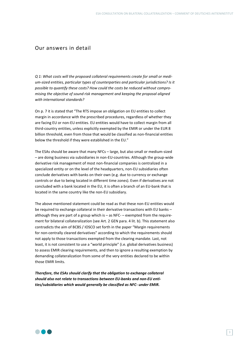# Our answers in detail

*Q 1: What costs will the proposed collateral requirements create for small or medium-sized entities, particular types of counterparties and particular jurisdictions? Is it possible to quantify these costs? How could the costs be reduced without compromising the objective of sound risk management and keeping the proposal aligned with international standards?* 

On p. 7 it is stated that "The RTS impose an obligation on EU entities to collect margin in accordance with the prescribed procedures, regardless of whether they are facing EU or non-EU entities. EU entities would have to collect margin from all third-country entities, unless explicitly exempted by the EMIR or under the EUR 8 billion threshold, even from those that would be classified as non-financial entities below the threshold if they were established in the EU."

The ESAs should be aware that many NFCs – large, but also small or medium-sized – are doing business via subsidiaries in non-EU-countries. Although the group-wide derivative risk management of most non-financial companies is centralized in a specialized entity or on the level of the headquarters, non-EU subsidiaries often conclude derivatives with banks on their own (e.g. due to currency or exchange controls or due to being located in different time zones). Even if derivatives are not concluded with a bank located in the EU, it is often a branch of an EU-bank that is located in the same country like the non-EU subsidiary.

The above mentioned statement could be read as that these non-EU entities would be required to exchange collateral in their derivative transactions with EU banks – although they are part of a group which is – as NFC- – exempted from the requirement for bilateral collateralization (see Art. 2 GEN para. 4 lit. b). This statement also contradicts the aim of BCBS / IOSCO set forth in the paper "Margin requirements for non-centrally cleared derivatives" according to which the requirements should not apply to those transactions exempted from the clearing mandate. Last, not least, it is not consistent to use a "world principle" (i.e. global derivatives business) to assess EMIR clearing requirements, and then to ignore a resulting exemption by demanding collateralization from some of the very entities declared to be within those EMIR limits.

*Therefore, the ESAs should clarify that the obligation to exchange collateral should also not relate to transactions between EU-banks and non-EU entities/subsidiaries which would generally be classified as NFC- under EMIR.* 

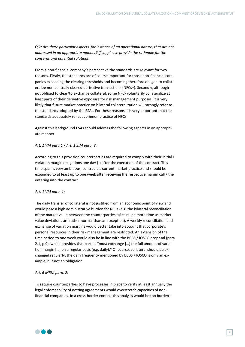*Q 2: Are there particular aspects, for instance of an operational nature, that are not addressed in an appropriate manner? If so, please provide the rationale for the concerns and potential solutions.* 

From a non-financial company's perspective the standards are relevant for two reasons. Firstly, the standards are of course important for those non-financial companies exceeding the clearing thresholds and becoming therefore obliged to collateralize non-centrally cleared derivative transactions (NFCs+). Secondly, although not obliged to clear/to exchange collateral, some NFC- voluntarily collateralize at least parts of their derivative exposure for risk management purposes. It is very likely that future market practice on bilateral collateralization will strongly refer to the standards adopted by the ESAs. For these reasons it is very important that the standards adequately reflect common practice of NFCs.

Against this background ESAs should address the following aspects in an appropriate manner:

*Art. 1 VM para.1 / Art. 1 EIM para. 3:* 

According to this provision counterparties are required to comply with their initial / variation margin obligations one day (!) after the execution of the contract. This time span is very ambitious, contradicts current market practice and should be expanded to at least up to one week after receiving the respective margin call / the entering into the contract.

## *Art. 1 VM para. 1:*

The daily transfer of collateral is not justified from an economic point of view and would pose a high administrative burden for NFCs (e.g. the bilateral reconciliation of the market value between the counterparties takes much more time as market value deviations are rather normal than an exception). A weekly reconciliation and exchange of variation margins would better take into account that corporate´s personal resources in their risk management are restricted. An extension of the time period to one week would also be in line with the BCBS / IOSCO proposal (para. 2.1, p.9), which provides that parties "must exchange […] the full amount of variation margin […] on a regular basis (e.g. daily)." Of course, collateral should be exchanged regularly; the daily frequency mentioned by BCBS / IOSCO is only an example, but not an obligation.

## *Art. 6 MRM para. 2:*

To require counterparties to have processes in place to verify at least annually the legal enforceability of netting agreements would overstretch capacities of nonfinancial companies. In a cross-border context this analysis would be too burden-

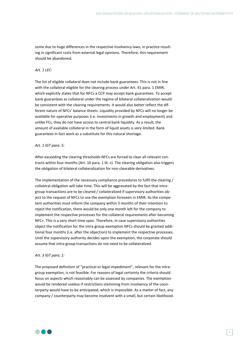some due to huge differences in the respective insolvency laws, in practice resulting in significant costs from external legal opinions. Therefore, this requirement should be abandoned.

## *Art. 1 LEC:*

The list of eligible collateral does not include bank guarantees. This is not in line with the collateral eligible for the clearing process under Art. 41 para. 1 EMIR, which explicitly states that for NFCs a CCP may accept bank guarantees. To accept bank guarantees as collateral under the regime of bilateral collateralization would be consistent with the clearing requirements. It would also better reflect the different nature of NFCs' balance sheets. Liquidity provided by NFCs will no longer be available for operative purposes (i.e. investments in growth and employment) and unlike FCs, they do not have access to central bank liquidity. As a result, the amount of available collateral in the form of liquid assets is very limited. Bank guarantees in fact work as a substitute for this natural shortage.

#### *Art. 1 IGT para. 5:*

After exceeding the clearing thresholds NFCs are forced to clear all relevant contracts within four months (Art. 10 para. 1 lit. c). The clearing obligation also triggers the obligation of bilateral collateralization for non-clearable derivatives.

The implementation of the necessary compliance procedures to fulfil the clearing / collateral obligation will take time. This will be aggravated by the fact that intragroup transactions are to be cleared / collateralized if supervisory authorities object to the request of NFCs to use the exemption foreseen in EMIR. As the competent authorities must inform the company within 3 months of their intention to reject the notification, there would be only one month left for the company to implement the respective processes for the collateral requirements after becoming NFC+. This is a very short time span. Therefore, in case supervisory authorities object the notification for the intra-group exemption NFCs should be granted additional four months (i.e. after the objection) to implement the respective processes. Until the supervisory authority decides upon the exemption, the corporate should assume that intra-group transactions do not need to be collateralized.

## *Art. 3 IGT para. 1:*

The proposed definition of "practical or legal impediment", relevant for the intragroup exemption, is not feasible. For reasons of legal certainty the criteria should focus on aspects which reasonably can be assessed by companies. The exemption would be rendered useless if restrictions stemming from insolvency of the counterparty would have to be anticipated, which is impossible. As a matter of fact, any company / counterparty may become insolvent with a small, but certain likelihood.

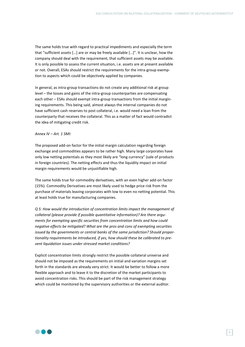The same holds true with regard to practical impediments and especially the term that "sufficient assets […] are or may be freely available […]". It is unclear, how the company should deal with the requirement, that sufficient assets may be available. It is only possible to assess the current situation, i.e. assets are at present available or not. Overall, ESAs should restrict the requirements for the intra-group exemption to aspects which could be objectively applied by companies.

In general, as intra-group transactions do not create any additional risk at group level – the losses and gains of the intra-group counterparties are compensating each other – ESAs should exempt intra-group transactions from the initial margining requirements. This being said, almost always the internal companies do not have sufficient cash reserves to post collateral, i.e. would need a loan from the counterparty that receives the collateral. This as a matter of fact would contradict the idea of mitigating credit risk.

## *Annex IV – Art. 1 SMI:*

The proposed add-on factor for the initial margin calculation regarding foreign exchange and commodities appears to be rather high. Many large corporates have only low netting potentials as they most likely are "long currency" (sale of products in foreign countries). The netting effects and thus the liquidity impact on initial margin requirements would be unjustifiable high.

The same holds true for commodity derivatives, with an even higher add-on factor (15%). Commodity Derivatives are most likely used to hedge price risk from the purchase of materials leaving corporates with low to even no netting potential. This at least holds true for manufacturing companies.

*Q 5: How would the introduction of concentration limits impact the management of collateral (please provide if possible quantitative information)? Are there arguments for exempting specific securities from concentration limits and how could negative effects be mitigated? What are the pros and cons of exempting securities issued by the governments or central banks of the same jurisdiction? Should proportionality requirements be introduced, if yes, how should these be calibrated to prevent liquidation issues under stressed market conditions?* 

Explicit concentration limits strongly restrict the possible collateral universe and should not be imposed as the requirements on initial and variation margins set forth in the standards are already very strict. It would be better to follow a more flexible approach and to leave it to the discretion of the market participants to avoid concentration risks. This should be part of the risk management strategy which could be monitored by the supervisory authorities or the external auditor.

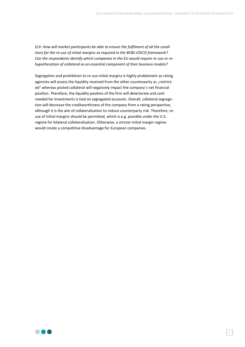*Q 6: How will market participants be able to ensure the fulfilment of all the conditions for the re-use of initial margins as required in the BCBS-IOSCO framework? Can the respondents identify which companies in the EU would require re-use or rehypothecation of collateral as an essential component of their business models?*

Segregation and prohibition to re-use initial margins is highly problematic as rating agencies will assess the liquidity received from the other counterparty as "restricted" whereas posted collateral will negatively impact the company´s net financial position. Therefore, the liquidity position of the firm will deteriorate and cash needed for investments is tied on segregated accounts. Overall, collateral segregation will decrease the creditworthiness of the company from a rating perspective, although it is the aim of collateralization to reduce counterparty risk. Therefore, reuse of initial margins should be permitted, which is e.g. possible under the U.S. regime for bilateral collateralization. Otherwise, a stricter initial margin regime would create a competitive disadvantage for European companies.